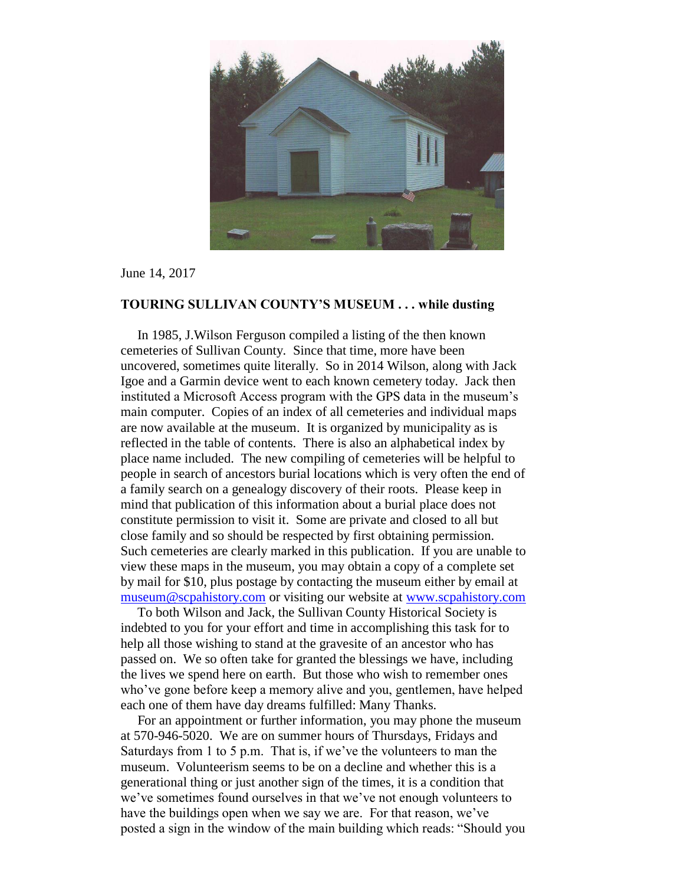

June 14, 2017

## **TOURING SULLIVAN COUNTY'S MUSEUM . . . while dusting**

 In 1985, J.Wilson Ferguson compiled a listing of the then known cemeteries of Sullivan County. Since that time, more have been uncovered, sometimes quite literally. So in 2014 Wilson, along with Jack Igoe and a Garmin device went to each known cemetery today. Jack then instituted a Microsoft Access program with the GPS data in the museum's main computer. Copies of an index of all cemeteries and individual maps are now available at the museum. It is organized by municipality as is reflected in the table of contents. There is also an alphabetical index by place name included. The new compiling of cemeteries will be helpful to people in search of ancestors burial locations which is very often the end of a family search on a genealogy discovery of their roots. Please keep in mind that publication of this information about a burial place does not constitute permission to visit it. Some are private and closed to all but close family and so should be respected by first obtaining permission. Such cemeteries are clearly marked in this publication. If you are unable to view these maps in the museum, you may obtain a copy of a complete set by mail for \$10, plus postage by contacting the museum either by email at [museum@scpahistory.com](mailto:museum@scpahistory.com) or visiting our website at [www.scpahistory.com](http://www.scpahistory.com/) 

 To both Wilson and Jack, the Sullivan County Historical Society is indebted to you for your effort and time in accomplishing this task for to help all those wishing to stand at the gravesite of an ancestor who has passed on. We so often take for granted the blessings we have, including the lives we spend here on earth. But those who wish to remember ones who've gone before keep a memory alive and you, gentlemen, have helped each one of them have day dreams fulfilled: Many Thanks.

 For an appointment or further information, you may phone the museum at 570-946-5020. We are on summer hours of Thursdays, Fridays and Saturdays from 1 to 5 p.m. That is, if we've the volunteers to man the museum. Volunteerism seems to be on a decline and whether this is a generational thing or just another sign of the times, it is a condition that we've sometimes found ourselves in that we've not enough volunteers to have the buildings open when we say we are. For that reason, we've posted a sign in the window of the main building which reads: "Should you